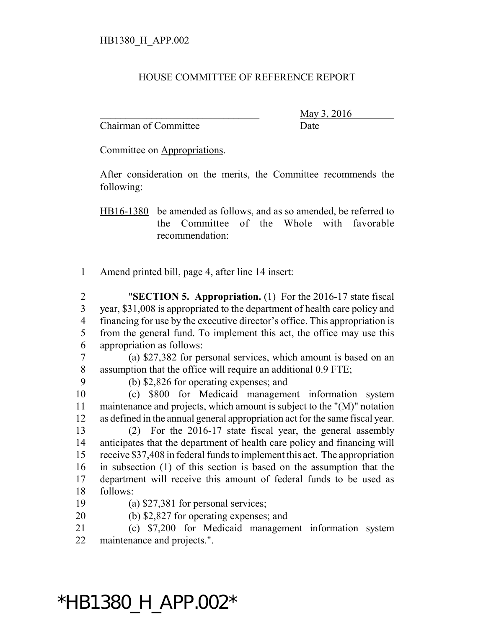## HOUSE COMMITTEE OF REFERENCE REPORT

Chairman of Committee Date

\_\_\_\_\_\_\_\_\_\_\_\_\_\_\_\_\_\_\_\_\_\_\_\_\_\_\_\_\_\_\_ May 3, 2016

Committee on Appropriations.

After consideration on the merits, the Committee recommends the following:

HB16-1380 be amended as follows, and as so amended, be referred to the Committee of the Whole with favorable recommendation:

Amend printed bill, page 4, after line 14 insert:

 "**SECTION 5. Appropriation.** (1) For the 2016-17 state fiscal year, \$31,008 is appropriated to the department of health care policy and financing for use by the executive director's office. This appropriation is from the general fund. To implement this act, the office may use this appropriation as follows:

 (a) \$27,382 for personal services, which amount is based on an assumption that the office will require an additional 0.9 FTE;

(b) \$2,826 for operating expenses; and

 (c) \$800 for Medicaid management information system maintenance and projects, which amount is subject to the "(M)" notation as defined in the annual general appropriation act for the same fiscal year.

 (2) For the 2016-17 state fiscal year, the general assembly anticipates that the department of health care policy and financing will receive \$37,408 in federal funds to implement this act. The appropriation in subsection (1) of this section is based on the assumption that the department will receive this amount of federal funds to be used as follows:

(a) \$27,381 for personal services;

(b) \$2,827 for operating expenses; and

 (c) \$7,200 for Medicaid management information system maintenance and projects.".

## \*HB1380\_H\_APP.002\*